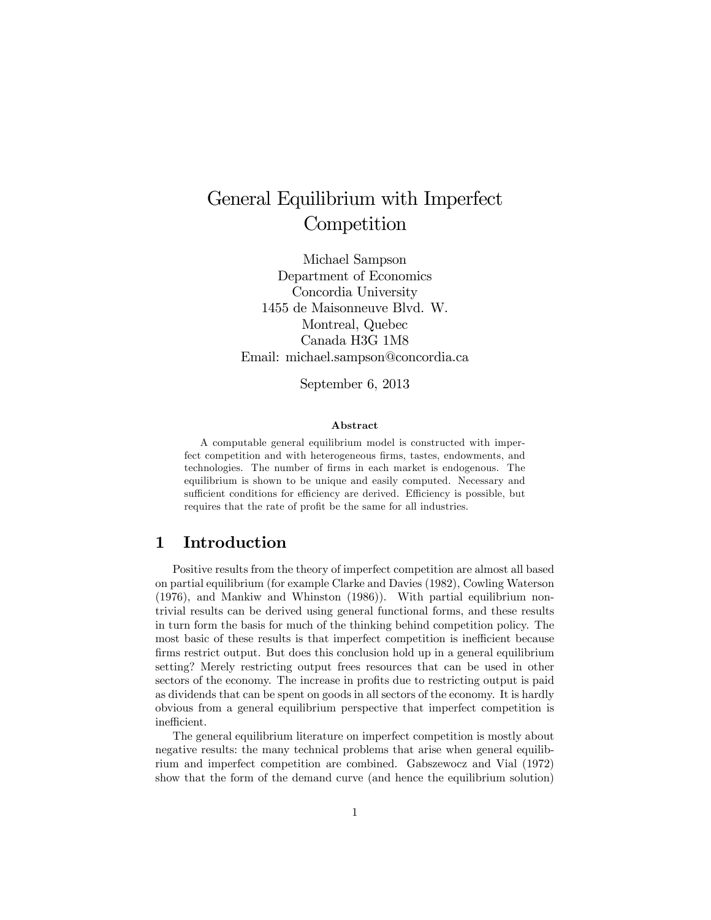# General Equilibrium with Imperfect **Competition**

Michael Sampson Department of Economics Concordia University 1455 de Maisonneuve Blvd. W. Montreal, Quebec Canada H3G 1M8 Email: michael.sampson@concordia.ca

September 6, 2013

#### Abstract

A computable general equilibrium model is constructed with imperfect competition and with heterogeneous firms, tastes, endowments, and technologies. The number of Örms in each market is endogenous. The equilibrium is shown to be unique and easily computed. Necessary and sufficient conditions for efficiency are derived. Efficiency is possible, but requires that the rate of profit be the same for all industries.

## 1 Introduction

Positive results from the theory of imperfect competition are almost all based on partial equilibrium (for example Clarke and Davies (1982), Cowling Waterson (1976), and Mankiw and Whinston (1986)). With partial equilibrium nontrivial results can be derived using general functional forms, and these results in turn form the basis for much of the thinking behind competition policy. The most basic of these results is that imperfect competition is inefficient because firms restrict output. But does this conclusion hold up in a general equilibrium setting? Merely restricting output frees resources that can be used in other sectors of the economy. The increase in profits due to restricting output is paid as dividends that can be spent on goods in all sectors of the economy. It is hardly obvious from a general equilibrium perspective that imperfect competition is inefficient.

The general equilibrium literature on imperfect competition is mostly about negative results: the many technical problems that arise when general equilibrium and imperfect competition are combined. Gabszewocz and Vial (1972) show that the form of the demand curve (and hence the equilibrium solution)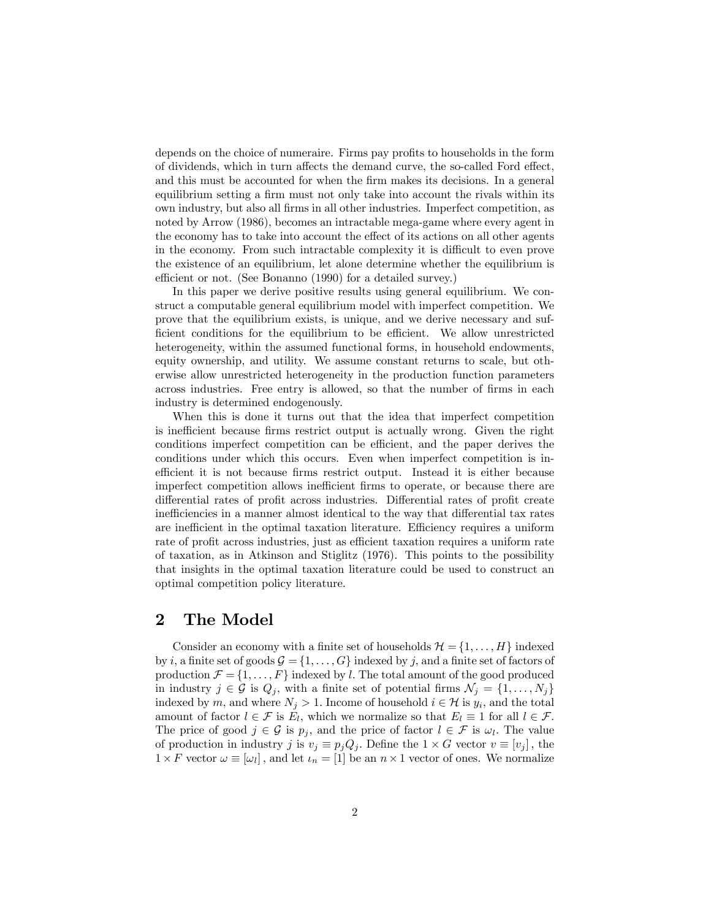depends on the choice of numeraire. Firms pay profits to households in the form of dividends, which in turn affects the demand curve, the so-called Ford effect, and this must be accounted for when the Örm makes its decisions. In a general equilibrium setting a firm must not only take into account the rivals within its own industry, but also all Örms in all other industries. Imperfect competition, as noted by Arrow (1986), becomes an intractable mega-game where every agent in the economy has to take into account the effect of its actions on all other agents in the economy. From such intractable complexity it is difficult to even prove the existence of an equilibrium, let alone determine whether the equilibrium is efficient or not. (See Bonanno (1990) for a detailed survey.)

In this paper we derive positive results using general equilibrium. We construct a computable general equilibrium model with imperfect competition. We prove that the equilibrium exists, is unique, and we derive necessary and sufficient conditions for the equilibrium to be efficient. We allow unrestricted heterogeneity, within the assumed functional forms, in household endowments, equity ownership, and utility. We assume constant returns to scale, but otherwise allow unrestricted heterogeneity in the production function parameters across industries. Free entry is allowed, so that the number of firms in each industry is determined endogenously.

When this is done it turns out that the idea that imperfect competition is inefficient because firms restrict output is actually wrong. Given the right conditions imperfect competition can be efficient, and the paper derives the conditions under which this occurs. Even when imperfect competition is inefficient it is not because firms restrict output. Instead it is either because imperfect competition allows inefficient firms to operate, or because there are differential rates of profit across industries. Differential rates of profit create inefficiencies in a manner almost identical to the way that differential tax rates are inefficient in the optimal taxation literature. Efficiency requires a uniform rate of profit across industries, just as efficient taxation requires a uniform rate of taxation, as in Atkinson and Stiglitz (1976). This points to the possibility that insights in the optimal taxation literature could be used to construct an optimal competition policy literature.

### 2 The Model

Consider an economy with a finite set of households  $\mathcal{H} = \{1, \ldots, H\}$  indexed by i, a finite set of goods  $\mathcal{G} = \{1, \ldots, G\}$  indexed by j, and a finite set of factors of production  $\mathcal{F} = \{1, \ldots, F\}$  indexed by l. The total amount of the good produced in industry  $j \in \mathcal{G}$  is  $Q_j$ , with a finite set of potential firms  $\mathcal{N}_j = \{1, \ldots, N_j\}$ indexed by m, and where  $N_j > 1$ . Income of household  $i \in \mathcal{H}$  is  $y_i$ , and the total amount of factor  $l \in \mathcal{F}$  is  $E_l$ , which we normalize so that  $E_l \equiv 1$  for all  $l \in \mathcal{F}$ . The price of good  $j \in \mathcal{G}$  is  $p_j$ , and the price of factor  $l \in \mathcal{F}$  is  $\omega_l$ . The value of production in industry j is  $v_j \equiv p_j Q_j$ . Define the  $1 \times G$  vector  $v \equiv [v_j]$ , the  $1 \times F$  vector  $\omega \equiv [\omega_l]$ , and let  $\iota_n = [1]$  be an  $n \times 1$  vector of ones. We normalize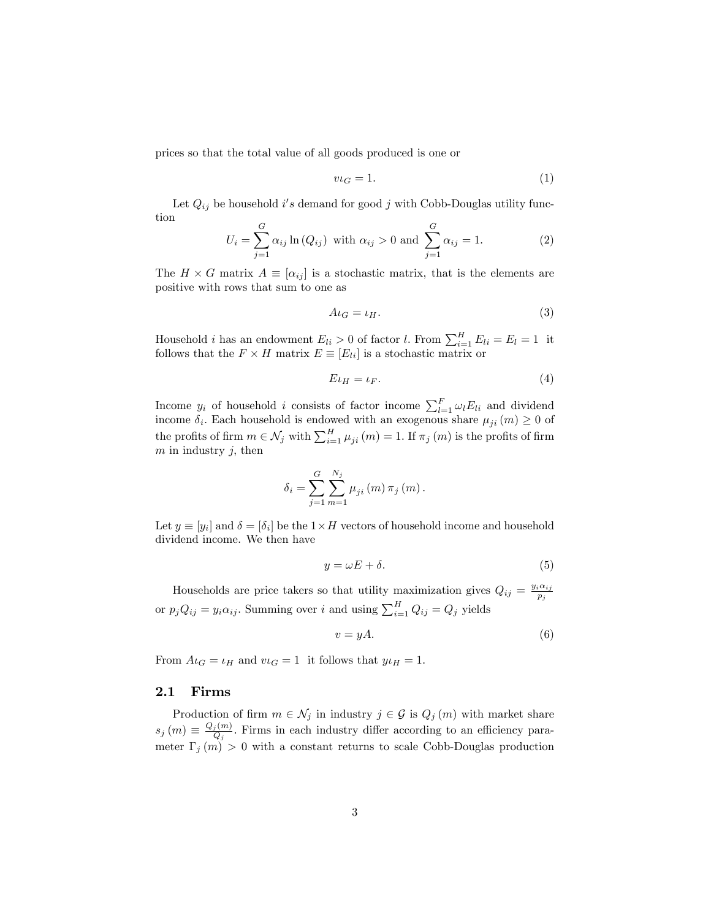prices so that the total value of all goods produced is one or

$$
v \iota_G = 1. \tag{1}
$$

Let  $Q_{ij}$  be household i's demand for good j with Cobb-Douglas utility function

$$
U_i = \sum_{j=1}^{G} \alpha_{ij} \ln(Q_{ij}) \text{ with } \alpha_{ij} > 0 \text{ and } \sum_{j=1}^{G} \alpha_{ij} = 1.
$$
 (2)

The  $H \times G$  matrix  $A \equiv [\alpha_{ij}]$  is a stochastic matrix, that is the elements are positive with rows that sum to one as

$$
A\iota_G = \iota_H. \tag{3}
$$

Household *i* has an endowment  $E_{li} > 0$  of factor *l*. From  $\sum_{i=1}^{H} E_{li} = E_l = 1$  it follows that the  $F \times H$  matrix  $E \equiv [E_{li}]$  is a stochastic matrix or

$$
E \iota_H = \iota_F. \tag{4}
$$

Income  $y_i$  of household i consists of factor income  $\sum_{l=1}^{F} \omega_l E_{li}$  and dividend income  $\delta_i$ . Each household is endowed with an exogenous share  $\mu_{ji} (m) \geq 0$  of the profits of firm  $m \in \mathcal{N}_j$  with  $\sum_{i=1}^H \mu_{ji} (m) = 1$ . If  $\pi_j (m)$  is the profits of firm  $m$  in industry  $j$ , then

$$
\delta_{i} = \sum_{j=1}^{G} \sum_{m=1}^{N_{j}} \mu_{ji}(m) \pi_{j}(m).
$$

Let  $y \equiv [y_i]$  and  $\delta = [\delta_i]$  be the  $1 \times H$  vectors of household income and household dividend income. We then have

$$
y = \omega E + \delta. \tag{5}
$$

Households are price takers so that utility maximization gives  $Q_{ij} = \frac{y_i \alpha_{ij}}{p_i}$  $p_j$ or  $p_j Q_{ij} = y_i \alpha_{ij}$ . Summing over i and using  $\sum_{i=1}^{H} Q_{ij} = Q_j$  yields

$$
v = yA.\t\t(6)
$$

From  $A_{\iota} = \iota_H$  and  $\nu_{\iota} = 1$  it follows that  $y_{\iota} = 1$ .

#### 2.1 Firms

Production of firm  $m \in \mathcal{N}_j$  in industry  $j \in \mathcal{G}$  is  $Q_j(m)$  with market share  $s_j(m) \equiv \frac{Q_j(m)}{Q_j}$  $\frac{j(m)}{Q_j}$ . Firms in each industry differ according to an efficiency parameter  $\Gamma_j(m) > 0$  with a constant returns to scale Cobb-Douglas production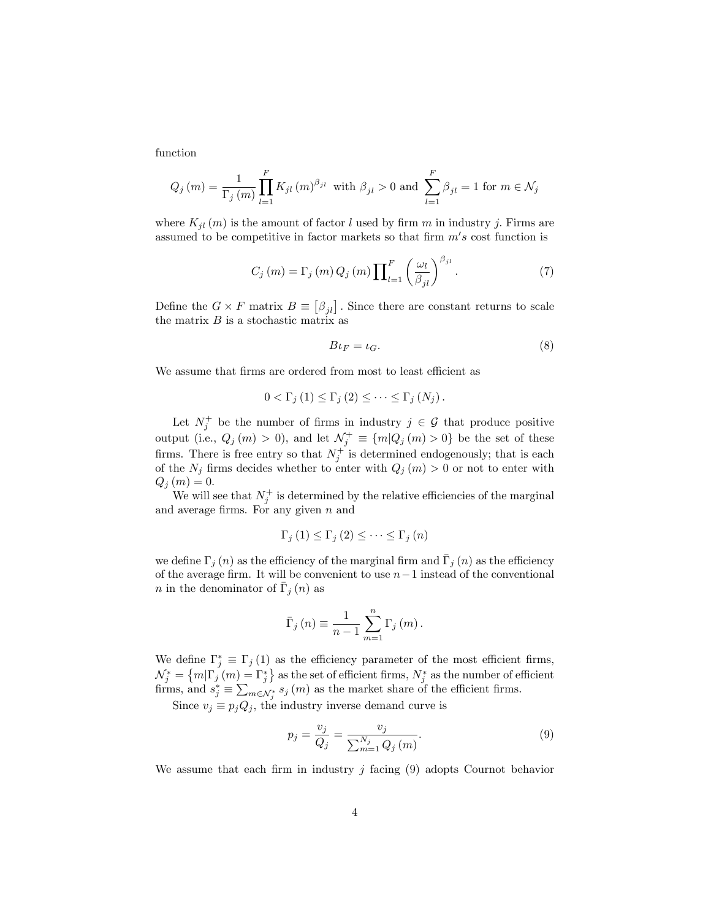function

$$
Q_j(m) = \frac{1}{\Gamma_j(m)} \prod_{l=1}^{F} K_{jl}(m)^{\beta_{jl}} \text{ with } \beta_{jl} > 0 \text{ and } \sum_{l=1}^{F} \beta_{jl} = 1 \text{ for } m \in \mathcal{N}_j
$$

where  $K_{il}(m)$  is the amount of factor l used by firm m in industry j. Firms are assumed to be competitive in factor markets so that firm  $m's$  cost function is

$$
C_j(m) = \Gamma_j(m) Q_j(m) \prod_{l=1}^F \left(\frac{\omega_l}{\beta_{jl}}\right)^{\beta_{jl}}.\tag{7}
$$

Define the  $G \times F$  matrix  $B \equiv [\beta_{jl}]$ . Since there are constant returns to scale the matrix  $B$  is a stochastic matrix as

$$
B\iota_F = \iota_G. \tag{8}
$$

We assume that firms are ordered from most to least efficient as

$$
0 < \Gamma_j(1) \leq \Gamma_j(2) \leq \cdots \leq \Gamma_j(N_j).
$$

Let  $N_j^+$  be the number of firms in industry  $j \in \mathcal{G}$  that produce positive output (i.e.,  $Q_j(m) > 0$ ), and let  $\mathcal{N}_j^+ \equiv \{m | Q_j(m) > 0\}$  be the set of these firms. There is free entry so that  $N_j^+$  is determined endogenously; that is each of the  $N_j$  firms decides whether to enter with  $Q_j (m) > 0$  or not to enter with  $Q_j(m) = 0.$ 

We will see that  $N_j^+$  is determined by the relative efficiencies of the marginal and average firms. For any given  $n$  and

$$
\Gamma_{j}\left(1\right) \leq \Gamma_{j}\left(2\right) \leq \cdots \leq \Gamma_{j}\left(n\right)
$$

we define  $\Gamma_j(n)$  as the efficiency of the marginal firm and  $\overline{\Gamma}_j(n)$  as the efficiency of the average firm. It will be convenient to use  $n-1$  instead of the conventional *n* in the denominator of  $\bar{\Gamma}_j(n)$  as

$$
\bar{\Gamma}_{j}(n) \equiv \frac{1}{n-1} \sum_{m=1}^{n} \Gamma_{j}(m).
$$

We define  $\Gamma_j^* \equiv \Gamma_j(1)$  as the efficiency parameter of the most efficient firms,  $\mathcal{N}_{j}^{*} = \{m|\Gamma_{j}(m) = \Gamma_{j}^{*}\}\$ as the set of efficient firms,  $N_{j}^{*}$  as the number of efficient firms, and  $s_j^* \equiv \sum_{m \in \mathcal{N}_j^*} s_j(m)$  as the market share of the efficient firms.

Since  $v_j \equiv p_j Q_j$ , the industry inverse demand curve is

$$
p_j = \frac{v_j}{Q_j} = \frac{v_j}{\sum_{m=1}^{N_j} Q_j(m)}.
$$
\n(9)

We assume that each firm in industry  $j$  facing (9) adopts Cournot behavior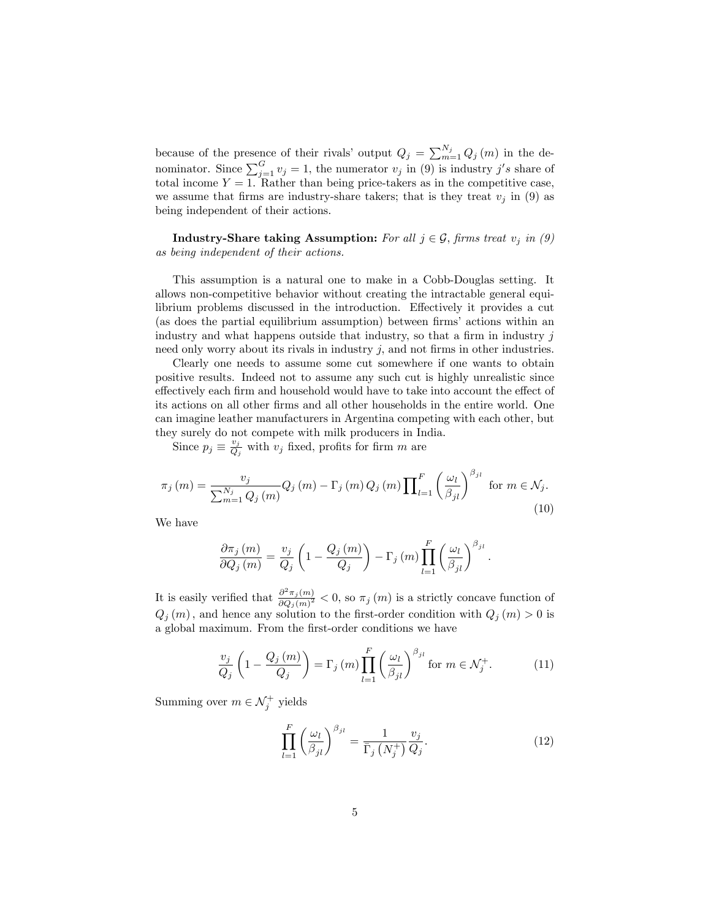because of the presence of their rivals' output  $Q_j = \sum_{m=1}^{N_j} Q_j(m)$  in the denominator. Since  $\sum_{j=1}^{G} v_j = 1$ , the numerator  $v_j$  in (9) is industry j's share of total income  $Y = 1$ . Rather than being price-takers as in the competitive case, we assume that firms are industry-share takers; that is they treat  $v_j$  in (9) as being independent of their actions.

**Industry-Share taking Assumption:** For all  $j \in \mathcal{G}$ , firms treat  $v_j$  in (9) as being independent of their actions.

This assumption is a natural one to make in a Cobb-Douglas setting. It allows non-competitive behavior without creating the intractable general equilibrium problems discussed in the introduction. Effectively it provides a cut (as does the partial equilibrium assumption) between firms' actions within an industry and what happens outside that industry, so that a firm in industry  $j$ need only worry about its rivals in industry  $j$ , and not firms in other industries.

Clearly one needs to assume some cut somewhere if one wants to obtain positive results. Indeed not to assume any such cut is highly unrealistic since effectively each firm and household would have to take into account the effect of its actions on all other firms and all other households in the entire world. One can imagine leather manufacturers in Argentina competing with each other, but they surely do not compete with milk producers in India.

Since  $p_j \equiv \frac{v_j}{Q_j}$  $\frac{v_j}{Q_j}$  with  $v_j$  fixed, profits for firm m are

$$
\pi_j(m) = \frac{v_j}{\sum_{m=1}^{N_j} Q_j(m)} Q_j(m) - \Gamma_j(m) Q_j(m) \prod_{l=1}^F \left(\frac{\omega_l}{\beta_{jl}}\right)^{\beta_{jl}} \text{ for } m \in \mathcal{N}_j. \tag{10}
$$

We have

$$
\frac{\partial \pi_j(m)}{\partial Q_j(m)} = \frac{v_j}{Q_j} \left( 1 - \frac{Q_j(m)}{Q_j} \right) - \Gamma_j(m) \prod_{l=1}^F \left( \frac{\omega_l}{\beta_{jl}} \right)^{\beta_{jl}}
$$

It is easily verified that  $\frac{\partial^2 \pi_j(m)}{\partial Q_l(m)^2}$  $\frac{\partial \pi_j(m)}{\partial Q_j(m)^2}$  < 0, so  $\pi_j(m)$  is a strictly concave function of  $Q_i(m)$ , and hence any solution to the first-order condition with  $Q_i(m) > 0$  is a global maximum. From the first-order conditions we have

$$
\frac{v_j}{Q_j} \left( 1 - \frac{Q_j(m)}{Q_j} \right) = \Gamma_j(m) \prod_{l=1}^F \left( \frac{\omega_l}{\beta_{jl}} \right)^{\beta_{jl}} \text{for } m \in \mathcal{N}_j^+.
$$
 (11)

Summing over  $m \in \mathcal{N}_j^+$  yields

$$
\prod_{l=1}^{F} \left(\frac{\omega_l}{\beta_{jl}}\right)^{\beta_{jl}} = \frac{1}{\bar{\Gamma}_j \left(N_j^+\right)} \frac{v_j}{Q_j}.\tag{12}
$$

: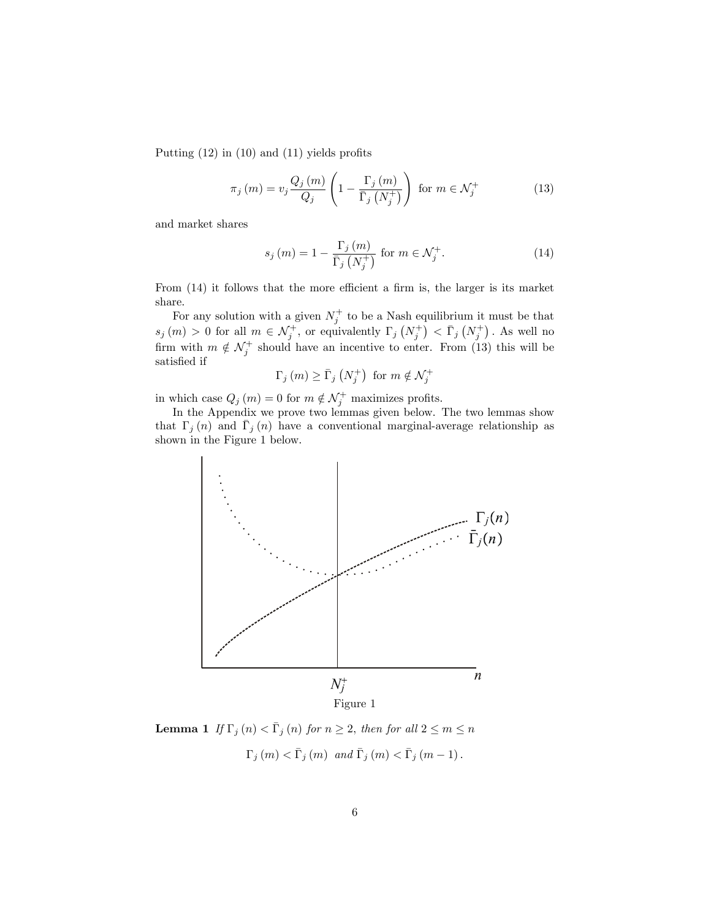Putting  $(12)$  in  $(10)$  and  $(11)$  yields profits

$$
\pi_j(m) = v_j \frac{Q_j(m)}{Q_j} \left( 1 - \frac{\Gamma_j(m)}{\overline{\Gamma}_j(N_j^+)} \right) \text{ for } m \in \mathcal{N}_j^+ \tag{13}
$$

and market shares

$$
s_j(m) = 1 - \frac{\Gamma_j(m)}{\overline{\Gamma}_j(N_j^+)} \text{ for } m \in \mathcal{N}_j^+.
$$
 (14)

From  $(14)$  it follows that the more efficient a firm is, the larger is its market share.

For any solution with a given  $N_j^+$  to be a Nash equilibrium it must be that  $s_j(m) > 0$  for all  $m \in \mathcal{N}_j^+$ , or equivalently  $\Gamma_j(N_j^+) < \bar{\Gamma}_j(N_j^+)$ . As well no firm with  $m \notin \mathcal{N}_j^+$  should have an incentive to enter. From (13) this will be satisfied if

$$
\Gamma_j(m) \ge \bar{\Gamma}_j\left(N_j^+\right) \text{ for } m \notin \mathcal{N}_j^+
$$

in which case  $Q_j(m) = 0$  for  $m \notin \mathcal{N}_j^+$  maximizes profits.

In the Appendix we prove two lemmas given below. The two lemmas show that  $\Gamma_j(n)$  and  $\overline{\Gamma}_j(n)$  have a conventional marginal-average relationship as shown in the Figure 1 below.



**Lemma 1** If  $\Gamma_j(n) < \overline{\Gamma}_j(n)$  for  $n \geq 2$ , then for all  $2 \leq m \leq n$  $\Gamma_j (m) < \bar{\Gamma}_j (m)$  and  $\bar{\Gamma}_j (m) < \bar{\Gamma}_j (m - 1)$ .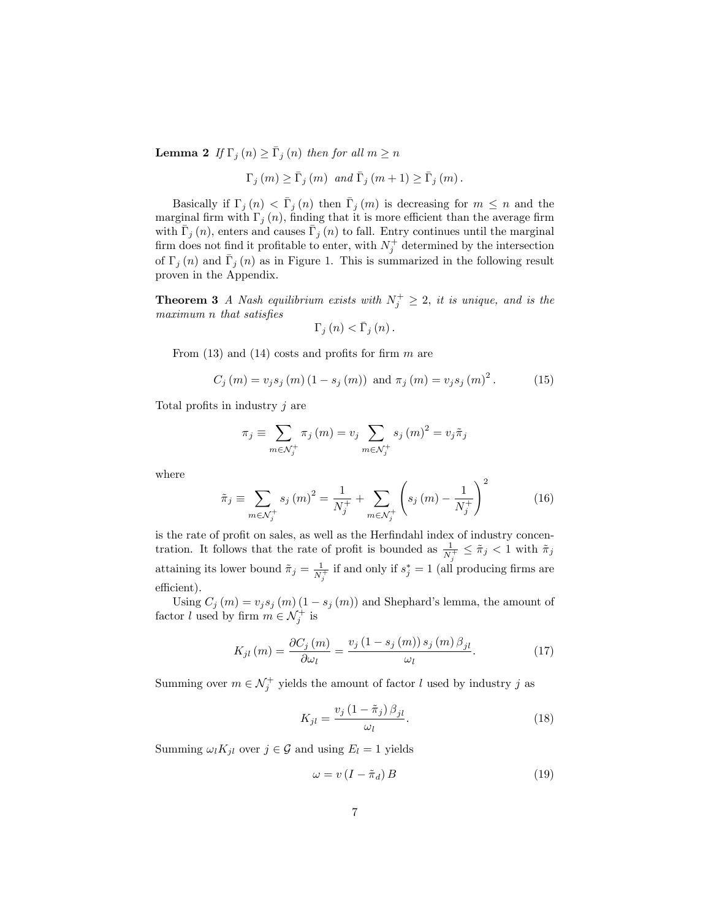**Lemma 2** If  $\Gamma_j(n) \geq \overline{\Gamma}_j(n)$  then for all  $m \geq n$ 

$$
\Gamma_{j}(m) \geq \bar{\Gamma}_{j}(m) \text{ and } \bar{\Gamma}_{j}(m+1) \geq \bar{\Gamma}_{j}(m).
$$

Basically if  $\Gamma_j (n) < \overline{\Gamma}_j (n)$  then  $\overline{\Gamma}_j (m)$  is decreasing for  $m \leq n$  and the marginal firm with  $\Gamma_j(n)$ , finding that it is more efficient than the average firm with  $\bar{\Gamma}_j(n)$ , enters and causes  $\bar{\Gamma}_j(n)$  to fall. Entry continues until the marginal firm does not find it profitable to enter, with  $N_j^+$  determined by the intersection of  $\Gamma_j(n)$  and  $\overline{\Gamma}_j(n)$  as in Figure 1. This is summarized in the following result proven in the Appendix.

**Theorem 3** A Nash equilibrium exists with  $N_j^+ \geq 2$ , it is unique, and is the  $maximum n that satisfies$ 

$$
\Gamma_{j}\left(n\right) < \bar{\Gamma}_{j}\left(n\right).
$$

From  $(13)$  and  $(14)$  costs and profits for firm m are

$$
C_j(m) = v_j s_j(m) (1 - s_j(m))
$$
 and  $\pi_j(m) = v_j s_j(m)^2$ . (15)

Total profits in industry  $j$  are

$$
\pi_j \equiv \sum_{m \in \mathcal{N}_j^+} \pi_j(m) = v_j \sum_{m \in \mathcal{N}_j^+} s_j(m)^2 = v_j \tilde{\pi}_j
$$

where

$$
\tilde{\pi}_{j} \equiv \sum_{m \in \mathcal{N}_{j}^{+}} s_{j}(m)^{2} = \frac{1}{N_{j}^{+}} + \sum_{m \in \mathcal{N}_{j}^{+}} \left( s_{j}(m) - \frac{1}{N_{j}^{+}} \right)^{2} \tag{16}
$$

is the rate of profit on sales, as well as the Herfindahl index of industry concentration. It follows that the rate of profit is bounded as  $\frac{1}{N_j^+} \leq \tilde{\pi}_j < 1$  with  $\tilde{\pi}_j$ attaining its lower bound  $\tilde{\pi}_j = \frac{1}{N}$  $\frac{1}{N_j^+}$  if and only if  $s_j^* = 1$  (all producing firms are efficient).

Using  $C_j(m) = v_j s_j(m) (1 - s_j(m))$  and Shephard's lemma, the amount of factor *l* used by firm  $m \in \mathcal{N}_j^+$  is

$$
K_{jl}\left(m\right) = \frac{\partial C_j\left(m\right)}{\partial \omega_l} = \frac{v_j\left(1 - s_j\left(m\right)\right)s_j\left(m\right)\beta_{jl}}{\omega_l}.\tag{17}
$$

Summing over  $m \in \mathcal{N}_j^+$  yields the amount of factor l used by industry j as

$$
K_{jl} = \frac{v_j \left(1 - \tilde{\pi}_j\right) \beta_{jl}}{\omega_l}.
$$
\n<sup>(18)</sup>

Summing  $\omega_l K_{jl}$  over  $j \in \mathcal{G}$  and using  $E_l = 1$  yields

$$
\omega = v \left( I - \tilde{\pi}_d \right) B \tag{19}
$$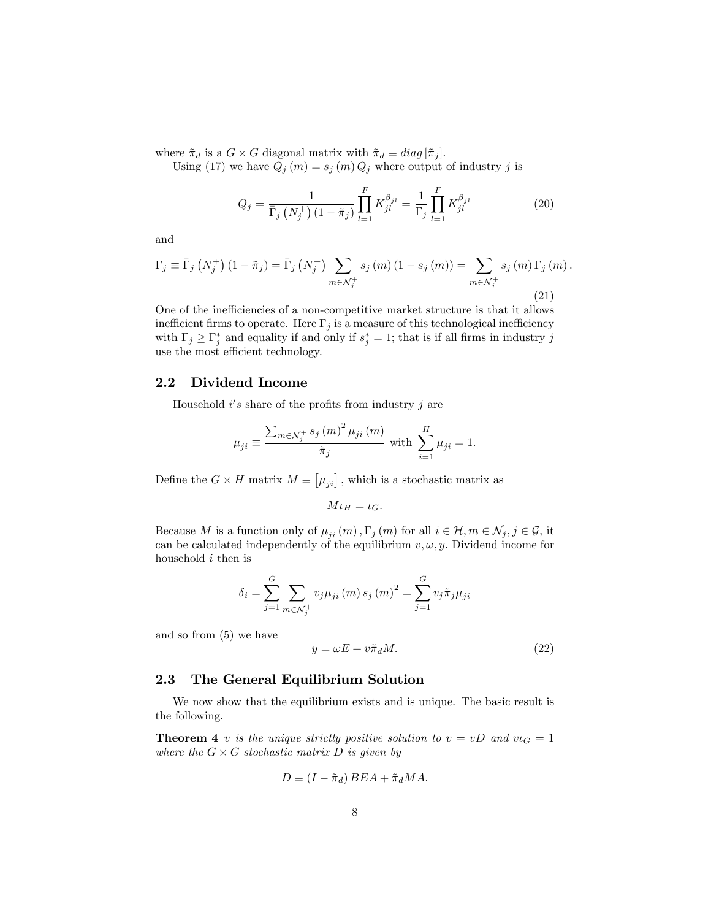where  $\tilde{\pi}_d$  is a  $G \times G$  diagonal matrix with  $\tilde{\pi}_d \equiv diag[\tilde{\pi}_j].$ 

Using (17) we have  $Q_j(m) = s_j(m) Q_j$  where output of industry j is

$$
Q_{j} = \frac{1}{\bar{\Gamma}_{j} \left( N_{j}^{+} \right) \left( 1 - \tilde{\pi}_{j} \right)} \prod_{l=1}^{F} K_{jl}^{\beta_{jl}} = \frac{1}{\Gamma_{j}} \prod_{l=1}^{F} K_{jl}^{\beta_{jl}} \tag{20}
$$

and

$$
\Gamma_{j} \equiv \bar{\Gamma}_{j} \left( N_{j}^{+} \right) (1 - \tilde{\pi}_{j}) = \bar{\Gamma}_{j} \left( N_{j}^{+} \right) \sum_{m \in \mathcal{N}_{j}^{+}} s_{j} \left( m \right) (1 - s_{j} \left( m \right)) = \sum_{m \in \mathcal{N}_{j}^{+}} s_{j} \left( m \right) \Gamma_{j} \left( m \right).
$$
\n(21)

One of the inefficiencies of a non-competitive market structure is that it allows inefficient firms to operate. Here  $\Gamma_j$  is a measure of this technological inefficiency with  $\Gamma_j \geq \Gamma_j^*$  and equality if and only if  $s_j^* = 1$ ; that is if all firms in industry j use the most efficient technology.

### 2.2 Dividend Income

Household  $i's$  share of the profits from industry j are

$$
\mu_{ji} \equiv \frac{\sum_{m \in \mathcal{N}_j^+} s_j (m)^2 \mu_{ji} (m)}{\tilde{\pi}_j} \text{ with } \sum_{i=1}^H \mu_{ji} = 1.
$$

Define the  $G \times H$  matrix  $M \equiv [\mu_{ji}]$ , which is a stochastic matrix as

$$
M\iota_H=\iota_G.
$$

Because M is a function only of  $\mu_{ii} (m)$ ,  $\Gamma_j (m)$  for all  $i \in \mathcal{H}, m \in \mathcal{N}_j, j \in \mathcal{G}$ , it can be calculated independently of the equilibrium  $v, \omega, y$ . Dividend income for household i then is

$$
\delta_{i} = \sum_{j=1}^{G} \sum_{m \in \mathcal{N}_{j}^{+}} v_{j} \mu_{ji}(m) s_{j}(m)^{2} = \sum_{j=1}^{G} v_{j} \tilde{\pi}_{j} \mu_{ji}
$$

and so from (5) we have

$$
y = \omega E + v\tilde{\pi}_d M. \tag{22}
$$

#### 2.3 The General Equilibrium Solution

We now show that the equilibrium exists and is unique. The basic result is the following.

**Theorem 4** v is the unique strictly positive solution to  $v = vD$  and  $v_{\text{G}} = 1$ where the  $G \times G$  stochastic matrix D is given by

$$
D \equiv (I - \tilde{\pi}_d) BEA + \tilde{\pi}_d MA.
$$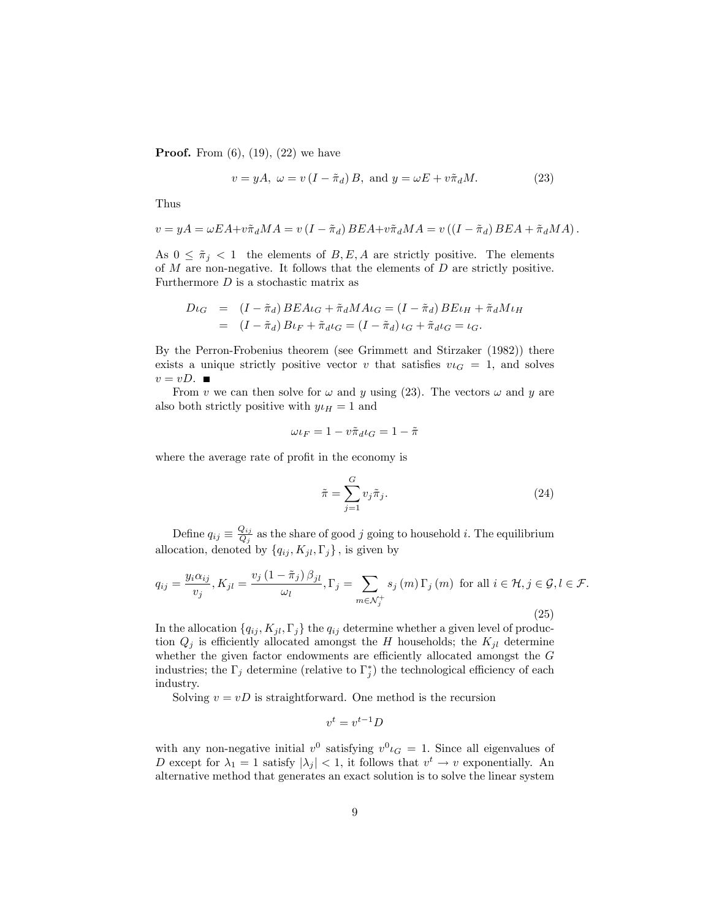**Proof.** From  $(6)$ ,  $(19)$ ,  $(22)$  we have

$$
v = yA, \ \omega = v(I - \tilde{\pi}_d)B, \text{ and } y = \omega E + v\tilde{\pi}_d M. \tag{23}
$$

Thus

$$
v = yA = \omega EA + v\tilde{\pi}_d MA = v(I - \tilde{\pi}_d) BEA + v\tilde{\pi}_d MA = v((I - \tilde{\pi}_d) BEA + \tilde{\pi}_d MA).
$$

As  $0 \leq \tilde{\pi}_j < 1$  the elements of B, E, A are strictly positive. The elements of  $M$  are non-negative. It follows that the elements of  $D$  are strictly positive. Furthermore  $D$  is a stochastic matrix as

$$
D\iota_G = (I - \tilde{\pi}_d) BEA\iota_G + \tilde{\pi}_d MA\iota_G = (I - \tilde{\pi}_d) BEL_H + \tilde{\pi}_d Mu_H
$$
  
= 
$$
(I - \tilde{\pi}_d) B\iota_F + \tilde{\pi}_d \iota_G = (I - \tilde{\pi}_d) \iota_G + \tilde{\pi}_d \iota_G = \iota_G.
$$

By the Perron-Frobenius theorem (see Grimmett and Stirzaker (1982)) there exists a unique strictly positive vector v that satisfies  $v_{\text{G}} = 1$ , and solves  $v = vD.$ 

From v we can then solve for  $\omega$  and y using (23). The vectors  $\omega$  and y are also both strictly positive with  $y \mu_H = 1$  and

$$
\omega \iota_F = 1 - v \tilde{\pi}_d \iota_G = 1 - \tilde{\pi}
$$

where the average rate of profit in the economy is

$$
\tilde{\pi} = \sum_{j=1}^{G} v_j \tilde{\pi}_j.
$$
\n(24)

Define  $q_{ij} \equiv \frac{Q_{ij}}{Q_j}$  $\frac{Q_{ij}}{Q_j}$  as the share of good j going to household i. The equilibrium allocation, denoted by  $\{q_{ij}, K_{jl}, \Gamma_j\}$ , is given by

$$
q_{ij} = \frac{y_i \alpha_{ij}}{v_j}, K_{jl} = \frac{v_j (1 - \tilde{\pi}_j) \beta_{jl}}{\omega_l}, \Gamma_j = \sum_{m \in \mathcal{N}_j^+} s_j(m) \Gamma_j(m) \text{ for all } i \in \mathcal{H}, j \in \mathcal{G}, l \in \mathcal{F}.
$$
\n
$$
(25)
$$

In the allocation  $\{q_{ij}, K_{jl}, \Gamma_j\}$  the  $q_{ij}$  determine whether a given level of production  $Q_j$  is efficiently allocated amongst the H households; the  $K_{jl}$  determine whether the given factor endowments are efficiently allocated amongst the  $G$ industries; the  $\Gamma_j$  determine (relative to  $\Gamma_j^*$ ) the technological efficiency of each industry.

Solving  $v = vD$  is straightforward. One method is the recursion

$$
v^t = v^{t-1}D
$$

with any non-negative initial  $v^0$  satisfying  $v^0 \iota_G = 1$ . Since all eigenvalues of D except for  $\lambda_1 = 1$  satisfy  $|\lambda_j| < 1$ , it follows that  $v^t \to v$  exponentially. An alternative method that generates an exact solution is to solve the linear system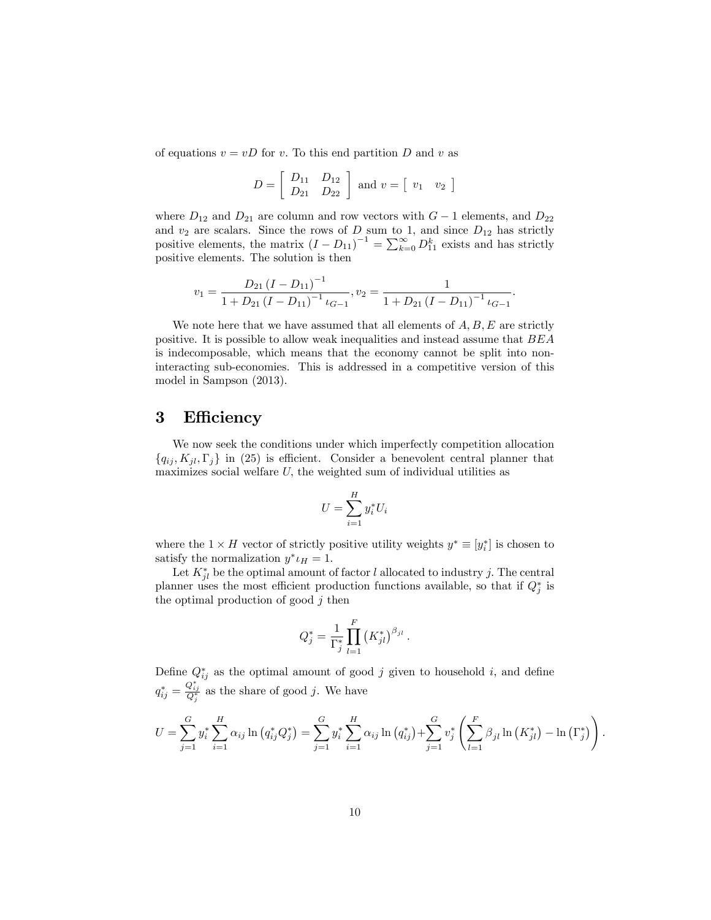of equations  $v = vD$  for v. To this end partition D and v as

$$
D = \begin{bmatrix} D_{11} & D_{12} \\ D_{21} & D_{22} \end{bmatrix} \text{ and } v = \begin{bmatrix} v_1 & v_2 \end{bmatrix}
$$

where  $D_{12}$  and  $D_{21}$  are column and row vectors with  $G-1$  elements, and  $D_{22}$ and  $v_2$  are scalars. Since the rows of D sum to 1, and since  $D_{12}$  has strictly positive elements, the matrix  $(I - D_{11})^{-1} = \sum_{k=0}^{\infty} D_{11}^{k}$  exists and has strictly positive elements. The solution is then

$$
v_1 = \frac{D_{21} (I - D_{11})^{-1}}{1 + D_{21} (I - D_{11})^{-1} \iota_{G-1}}, v_2 = \frac{1}{1 + D_{21} (I - D_{11})^{-1} \iota_{G-1}}.
$$

We note here that we have assumed that all elements of  $A, B, E$  are strictly positive. It is possible to allow weak inequalities and instead assume that BEA is indecomposable, which means that the economy cannot be split into noninteracting sub-economies. This is addressed in a competitive version of this model in Sampson (2013).

### 3 Efficiency

We now seek the conditions under which imperfectly competition allocation  ${q_{ij}, K_{jl}, \Gamma_j}$  in (25) is efficient. Consider a benevolent central planner that maximizes social welfare  $U$ , the weighted sum of individual utilities as

$$
U = \sum_{i=1}^{H} y_i^* U_i
$$

where the  $1 \times H$  vector of strictly positive utility weights  $y^* \equiv [y_i^*]$  is chosen to satisfy the normalization  $y^* \iota_H = 1$ .

Let  $K_{jl}^*$  be the optimal amount of factor l allocated to industry j. The central planner uses the most efficient production functions available, so that if  $Q_j^*$  is the optimal production of good  $j$  then

$$
Q_j^* = \frac{1}{\Gamma_j^*} \prod_{l=1}^F (K_{jl}^*)^{\beta_{jl}}.
$$

Define  $Q_{ij}^*$  as the optimal amount of good j given to household i, and define  $q_{ij}^* = \frac{Q_{ij}^*}{Q_j^*}$  as the share of good j. We have

$$
U = \sum_{j=1}^{G} y_i^* \sum_{i=1}^{H} \alpha_{ij} \ln (q_{ij}^* Q_j^*) = \sum_{j=1}^{G} y_i^* \sum_{i=1}^{H} \alpha_{ij} \ln (q_{ij}^*) + \sum_{j=1}^{G} v_j^* \left( \sum_{l=1}^{F} \beta_{jl} \ln (K_{jl}^*) - \ln (\Gamma_j^*) \right).
$$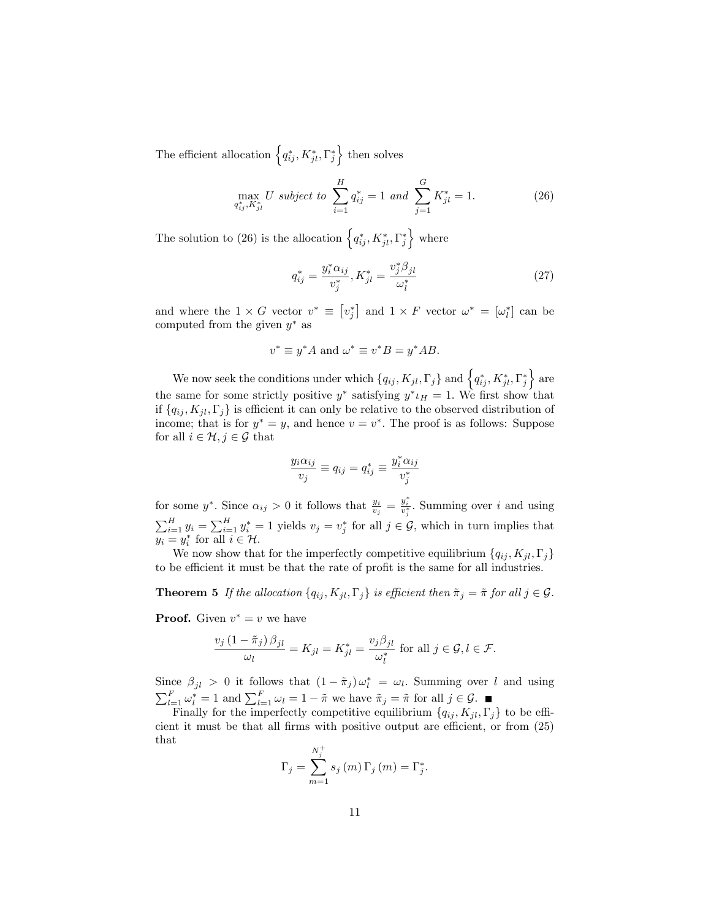The efficient allocation  $\left\{ q_{ij}^*, K_{jl}^*, \Gamma_j^* \right\}$  then solves

$$
\max_{q_{ij}^*, K_{jl}^*} U \text{ subject to } \sum_{i=1}^H q_{ij}^* = 1 \text{ and } \sum_{j=1}^G K_{jl}^* = 1. \tag{26}
$$

The solution to (26) is the allocation  $\left\{ q_{ij}^*, K_{jl}^*, \Gamma_j^* \right\}$  where

$$
q_{ij}^* = \frac{y_i^* \alpha_{ij}}{v_j^*}, K_{jl}^* = \frac{v_j^* \beta_{jl}}{\omega_l^*}
$$
 (27)

and where the  $1 \times G$  vector  $v^* \equiv [v_j^*]$  and  $1 \times F$  vector  $\omega^* = [\omega_l^*]$  can be computed from the given  $y^*$  as

$$
v^* \equiv y^* A
$$
 and  $\omega^* \equiv v^* B = y^* A B$ .

We now seek the conditions under which  $\{q_{ij}, K_{jl}, \Gamma_j\}$  and  $\left\{q_{ij}^*, K_{jl}^*, \Gamma_j^*\right\}$  are the same for some strictly positive  $y^*$  satisfying  $y^* \iota_H = 1$ . We first show that if  $\{q_{ij}, K_{jl}, \Gamma_j\}$  is efficient it can only be relative to the observed distribution of income; that is for  $y^* = y$ , and hence  $v = v^*$ . The proof is as follows: Suppose for all  $i \in \mathcal{H}$ ,  $j \in \mathcal{G}$  that

$$
\frac{y_i \alpha_{ij}}{v_j} \equiv q_{ij} = q_{ij}^* \equiv \frac{y_i^* \alpha_{ij}}{v_j^*}
$$

for some  $y^*$ . Since  $\alpha_{ij} > 0$  it follows that  $\frac{y_i}{v_j} = \frac{y_i^*}{v_j^*}$ . Summing over i and using  $\sum_{i=1}^{H} y_i = \sum_{i=1}^{H} y_i^* = 1$  yields  $v_j = v_j^*$  for all  $j \in \mathcal{G}$ , which in turn implies that  $y_i = y_i^*$  for all  $i \in \mathcal{H}$ .

We now show that for the imperfectly competitive equilibrium  $\{q_{ij}, K_{jl}, \Gamma_j\}$ to be efficient it must be that the rate of profit is the same for all industries.

**Theorem 5** If the allocation  $\{q_{ij}, K_{jl}, \Gamma_j\}$  is efficient then  $\tilde{\pi}_j = \tilde{\pi}$  for all  $j \in \mathcal{G}$ .

**Proof.** Given  $v^* = v$  we have

$$
\frac{v_j(1-\tilde{\pi}_j)\beta_{jl}}{\omega_l}=K_{jl}=K_{jl}^*=\frac{v_j\beta_{jl}}{\omega_l^*} \text{ for all } j\in\mathcal{G}, l\in\mathcal{F}.
$$

Since  $\beta_{jl} > 0$  it follows that  $(1 - \tilde{\pi}_j) \omega_l^* = \omega_l$ . Summing over l and using  $\sum_{l=1}^{F} \omega_l^* = 1$  and  $\sum_{l=1}^{F} \omega_l = 1 - \tilde{\pi}$  we have  $\tilde{\pi}_j = \tilde{\pi}$  for all  $j \in \mathcal{G}$ .

Finally for the imperfectly competitive equilibrium  $\{q_{ij}, K_{jl}, \Gamma_j\}$  to be efficient it must be that all firms with positive output are efficient, or from  $(25)$ that

$$
\Gamma_j = \sum_{m=1}^{N_j^+} s_j(m) \Gamma_j(m) = \Gamma_j^*.
$$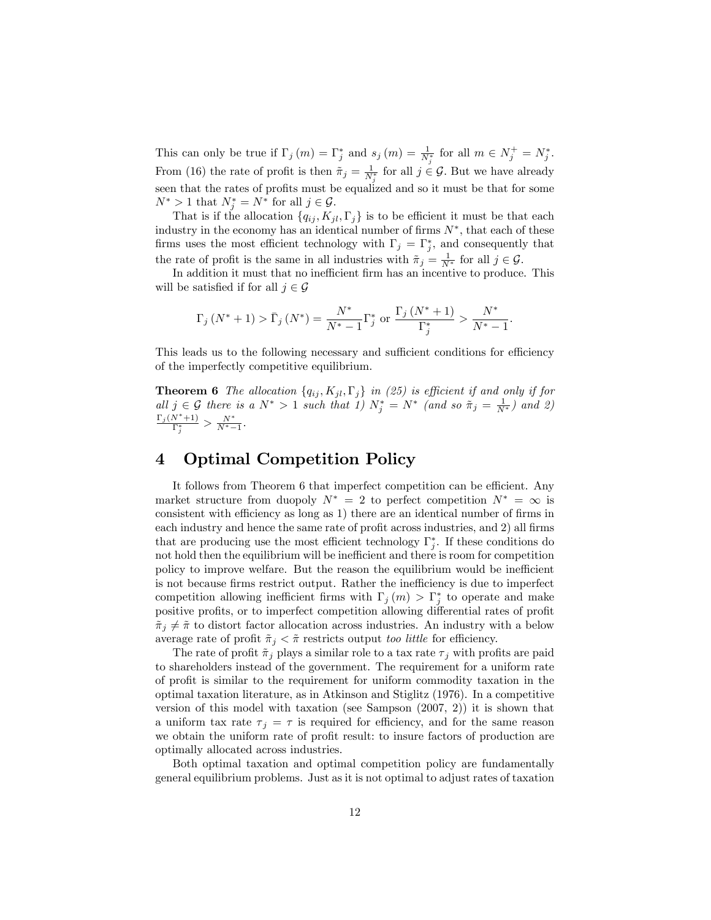This can only be true if  $\Gamma_j (m) = \Gamma_j^*$  and  $s_j (m) = \frac{1}{N_j^*}$  for all  $m \in N_j^+ = N_j^*$ . From (16) the rate of profit is then  $\tilde{\pi}_j = \frac{1}{N_j^*}$  for all  $j \in \mathcal{G}$ . But we have already seen that the rates of profits must be equalized and so it must be that for some  $N^* > 1$  that  $N_j^* = N^*$  for all  $j \in \mathcal{G}$ .

That is if the allocation  $\{q_{ij}, K_{jl}, \Gamma_j\}$  is to be efficient it must be that each industry in the economy has an identical number of firms  $N^*$ , that each of these firms uses the most efficient technology with  $\Gamma_j = \Gamma_j^*$ , and consequently that the rate of profit is the same in all industries with  $\tilde{\pi}_j = \frac{1}{N^*}$  for all  $j \in \mathcal{G}$ .

In addition it must that no inefficient firm has an incentive to produce. This will be satisfied if for all  $j \in \mathcal{G}$ 

$$
\Gamma_j(N^*+1) > \bar{\Gamma}_j(N^*) = \frac{N^*}{N^*-1} \Gamma_j^*
$$
 or  $\frac{\Gamma_j(N^*+1)}{\Gamma_j^*} > \frac{N^*}{N^*-1}$ .

This leads us to the following necessary and sufficient conditions for efficiency of the imperfectly competitive equilibrium.

**Theorem 6** The allocation  $\{q_{ij}, K_{jl}, \Gamma_j\}$  in (25) is efficient if and only if for all  $j \in \mathcal{G}$  there is a  $N^* > 1$  such that 1)  $N_j^* = N^*$  (and so  $\tilde{\pi}_j = \frac{1}{N^*}$ ) and 2)  $\frac{\Gamma_j (N^*+1)}{\Gamma_j^*} > \frac{N^*}{N^*-1}.$ 

# 4 Optimal Competition Policy

It follows from Theorem  $6$  that imperfect competition can be efficient. Any market structure from duopoly  $N^* = 2$  to perfect competition  $N^* = \infty$  is consistent with efficiency as long as 1) there are an identical number of firms in each industry and hence the same rate of profit across industries, and 2) all firms that are producing use the most efficient technology  $\Gamma_j^*$ . If these conditions do not hold then the equilibrium will be inefficient and there is room for competition policy to improve welfare. But the reason the equilibrium would be inefficient is not because firms restrict output. Rather the inefficiency is due to imperfect competition allowing inefficient firms with  $\Gamma_j(m) > \Gamma_j^*$  to operate and make positive profits, or to imperfect competition allowing differential rates of profit  $\tilde{\pi}_j \neq \tilde{\pi}$  to distort factor allocation across industries. An industry with a below average rate of profit  $\tilde{\pi}_j < \tilde{\pi}$  restricts output too little for efficiency.

The rate of profit  $\tilde{\pi}_j$  plays a similar role to a tax rate  $\tau_j$  with profits are paid to shareholders instead of the government. The requirement for a uniform rate of proÖt is similar to the requirement for uniform commodity taxation in the optimal taxation literature, as in Atkinson and Stiglitz (1976). In a competitive version of this model with taxation (see Sampson (2007, 2)) it is shown that a uniform tax rate  $\tau_j = \tau$  is required for efficiency, and for the same reason we obtain the uniform rate of profit result: to insure factors of production are optimally allocated across industries.

Both optimal taxation and optimal competition policy are fundamentally general equilibrium problems. Just as it is not optimal to adjust rates of taxation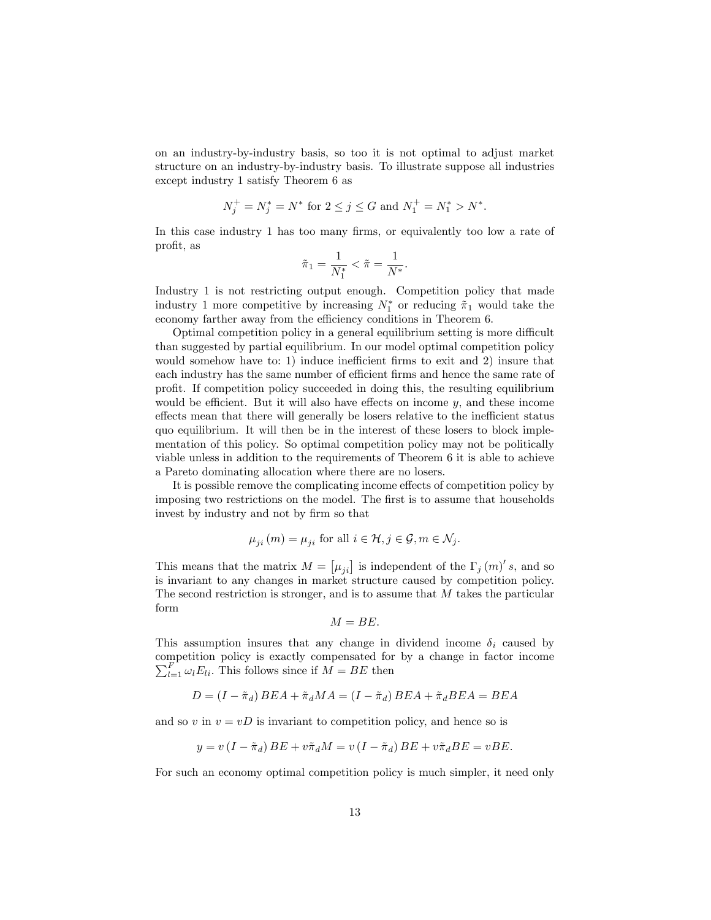on an industry-by-industry basis, so too it is not optimal to adjust market structure on an industry-by-industry basis. To illustrate suppose all industries except industry 1 satisfy Theorem 6 as

$$
N_j^+ = N_j^* = N^* \text{ for } 2 \le j \le G \text{ and } N_1^+ = N_1^* > N^*.
$$

In this case industry 1 has too many firms, or equivalently too low a rate of profit, as

$$
\tilde{\pi}_1 = \frac{1}{N_1^*} < \tilde{\pi} = \frac{1}{N^*}.
$$

Industry 1 is not restricting output enough. Competition policy that made industry 1 more competitive by increasing  $N_1^*$  or reducing  $\tilde{\pi}_1$  would take the economy farther away from the efficiency conditions in Theorem 6.

Optimal competition policy in a general equilibrium setting is more difficult than suggested by partial equilibrium. In our model optimal competition policy would somehow have to: 1) induce inefficient firms to exit and 2) insure that each industry has the same number of efficient firms and hence the same rate of proÖt. If competition policy succeeded in doing this, the resulting equilibrium would be efficient. But it will also have effects on income  $y$ , and these income effects mean that there will generally be losers relative to the inefficient status quo equilibrium. It will then be in the interest of these losers to block implementation of this policy. So optimal competition policy may not be politically viable unless in addition to the requirements of Theorem 6 it is able to achieve a Pareto dominating allocation where there are no losers.

It is possible remove the complicating income effects of competition policy by imposing two restrictions on the model. The first is to assume that households invest by industry and not by firm so that

$$
\mu_{ji}(m) = \mu_{ji} \text{ for all } i \in \mathcal{H}, j \in \mathcal{G}, m \in \mathcal{N}_j.
$$

This means that the matrix  $M = [\mu_{ji}]$  is independent of the  $\Gamma_j (m)' s$ , and so is invariant to any changes in market structure caused by competition policy. The second restriction is stronger, and is to assume that  $M$  takes the particular form

$$
M = BE.
$$

This assumption insures that any change in dividend income  $\delta_i$  caused by competition policy is exactly compensated for by a change in factor income  $\sum_{l=1}^{F} \omega_l E_{li}$ . This follows since if  $M = BE$  then

$$
D = (I - \tilde{\pi}_d) BEA + \tilde{\pi}_d MA = (I - \tilde{\pi}_d) BEA + \tilde{\pi}_d BEA = BEA
$$

and so v in  $v = vD$  is invariant to competition policy, and hence so is

$$
y = v(I - \tilde{\pi}_d) BE + v\tilde{\pi}_d M = v(I - \tilde{\pi}_d) BE + v\tilde{\pi}_d BE = vBE.
$$

For such an economy optimal competition policy is much simpler, it need only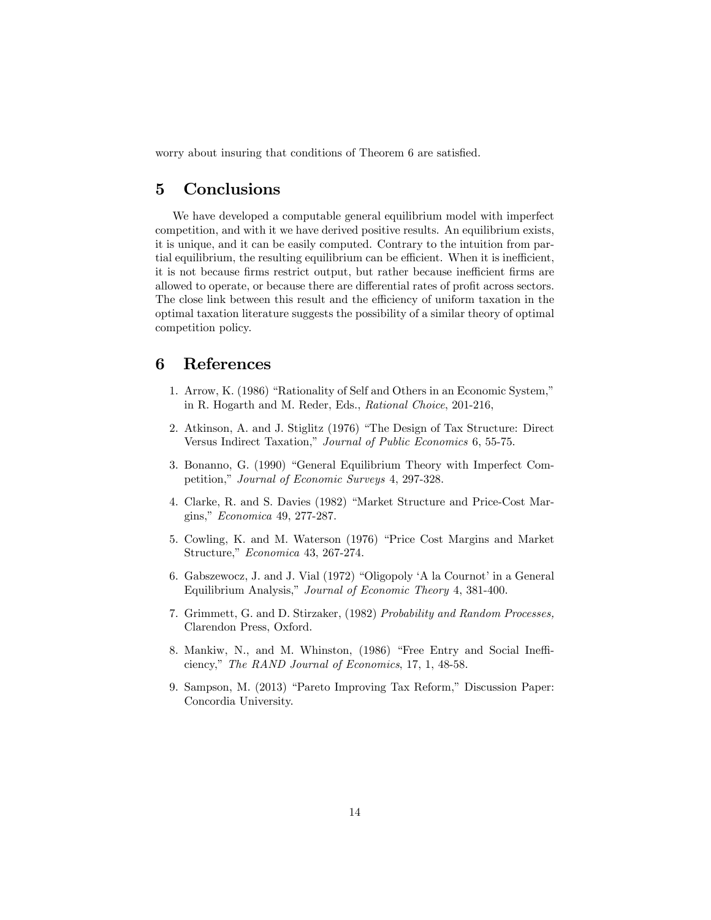worry about insuring that conditions of Theorem 6 are satisfied.

# 5 Conclusions

We have developed a computable general equilibrium model with imperfect competition, and with it we have derived positive results. An equilibrium exists, it is unique, and it can be easily computed. Contrary to the intuition from partial equilibrium, the resulting equilibrium can be efficient. When it is inefficient, it is not because firms restrict output, but rather because inefficient firms are allowed to operate, or because there are differential rates of profit across sectors. The close link between this result and the efficiency of uniform taxation in the optimal taxation literature suggests the possibility of a similar theory of optimal competition policy.

### 6 References

- 1. Arrow, K. (1986) "Rationality of Self and Others in an Economic System," in R. Hogarth and M. Reder, Eds., Rational Choice, 201-216,
- 2. Atkinson, A. and J. Stiglitz (1976) "The Design of Tax Structure: Direct Versus Indirect Taxation," Journal of Public Economics 6, 55-75.
- 3. Bonanno, G. (1990) "General Equilibrium Theory with Imperfect Competition," Journal of Economic Surveys 4, 297-328.
- 4. Clarke, R. and S. Davies (1982) "Market Structure and Price-Cost Margins," Economica 49, 277-287.
- 5. Cowling, K. and M. Waterson (1976) "Price Cost Margins and Market Structure," Economica 43, 267-274.
- 6. Gabszewocz, J. and J. Vial  $(1972)$  "Oligopoly 'A la Cournot' in a General Equilibrium Analysis," Journal of Economic Theory 4, 381-400.
- 7. Grimmett, G. and D. Stirzaker, (1982) Probability and Random Processes, Clarendon Press, Oxford.
- 8. Mankiw, N., and M. Whinston, (1986) "Free Entry and Social Inefficiency," The RAND Journal of Economics, 17, 1, 48-58.
- 9. Sampson, M. (2013) "Pareto Improving Tax Reform," Discussion Paper: Concordia University.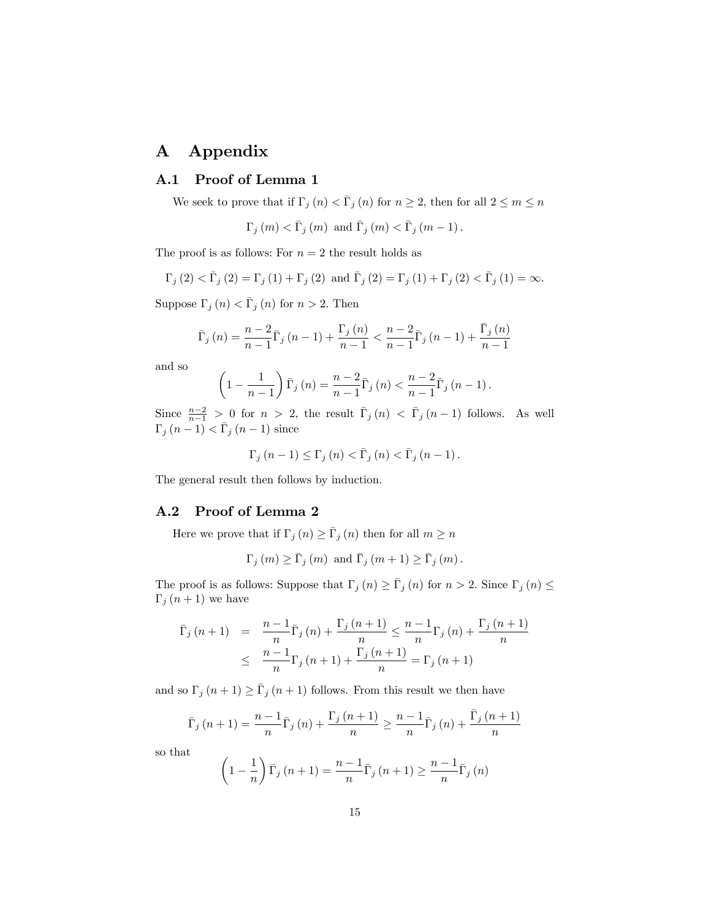# A Appendix

### A.1 Proof of Lemma 1

We seek to prove that if  $\Gamma_j (n) < \overline{\Gamma}_j (n)$  for  $n \geq 2$ , then for all  $2 \leq m \leq n$ 

 $\Gamma_j (m) < \bar{\Gamma}_j (m)$  and  $\bar{\Gamma}_j (m) < \bar{\Gamma}_j (m - 1)$ .

The proof is as follows: For  $n = 2$  the result holds as

$$
\Gamma_{j}\left(2\right) < \bar{\Gamma}_{j}\left(2\right) = \Gamma_{j}\left(1\right) + \Gamma_{j}\left(2\right) \text{ and } \bar{\Gamma}_{j}\left(2\right) = \Gamma_{j}\left(1\right) + \Gamma_{j}\left(2\right) < \bar{\Gamma}_{j}\left(1\right) = \infty.
$$

Suppose  $\Gamma_j(n) < \overline{\Gamma}_j(n)$  for  $n > 2$ . Then

$$
\bar{\Gamma}_{j}(n) = \frac{n-2}{n-1} \bar{\Gamma}_{j}(n-1) + \frac{\Gamma_{j}(n)}{n-1} < \frac{n-2}{n-1} \bar{\Gamma}_{j}(n-1) + \frac{\bar{\Gamma}_{j}(n)}{n-1}
$$

and so

$$
\left(1-\frac{1}{n-1}\right)\bar{\Gamma}_j\left(n\right)=\frac{n-2}{n-1}\bar{\Gamma}_j\left(n\right)<\frac{n-2}{n-1}\bar{\Gamma}_j\left(n-1\right).
$$

Since  $\frac{n-2}{n-1} > 0$  for  $n > 2$ , the result  $\overline{\Gamma}_j(n) < \overline{\Gamma}_j(n-1)$  follows. As well  $\Gamma_j(n-1) < \bar{\Gamma}_j(n-1)$  since

$$
\Gamma_j(n-1) \leq \Gamma_j(n) < \bar{\Gamma}_j(n) < \bar{\Gamma}_j(n-1).
$$

The general result then follows by induction.

#### A.2 Proof of Lemma 2

Here we prove that if  $\Gamma_j (n) \ge \bar{\Gamma}_j (n)$  then for all  $m \ge n$ 

$$
\Gamma_{j}\left(m\right) \geq \bar{\Gamma}_{j}\left(m\right) \text{ and } \bar{\Gamma}_{j}\left(m+1\right) \geq \bar{\Gamma}_{j}\left(m\right).
$$

The proof is as follows: Suppose that  $\Gamma_j (n) \geq \overline{\Gamma}_j (n)$  for  $n > 2$ . Since  $\Gamma_j (n) \leq$  $\Gamma_j(n+1)$  we have

$$
\bar{\Gamma}_{j}(n+1) = \frac{n-1}{n} \bar{\Gamma}_{j}(n) + \frac{\Gamma_{j}(n+1)}{n} \le \frac{n-1}{n} \Gamma_{j}(n) + \frac{\Gamma_{j}(n+1)}{n} \le \frac{n-1}{n} \Gamma_{j}(n+1) + \frac{\Gamma_{j}(n+1)}{n} = \Gamma_{j}(n+1)
$$

and so  $\Gamma_j (n + 1) \ge \overline{\Gamma}_j (n + 1)$  follows. From this result we then have

$$
\bar{\Gamma}_{j}(n+1) = \frac{n-1}{n} \bar{\Gamma}_{j}(n) + \frac{\Gamma_{j}(n+1)}{n} \ge \frac{n-1}{n} \bar{\Gamma}_{j}(n) + \frac{\bar{\Gamma}_{j}(n+1)}{n}
$$

so that

$$
\left(1 - \frac{1}{n}\right)\bar{\Gamma}_j\left(n + 1\right) = \frac{n-1}{n}\bar{\Gamma}_j\left(n + 1\right) \ge \frac{n-1}{n}\bar{\Gamma}_j\left(n\right)
$$